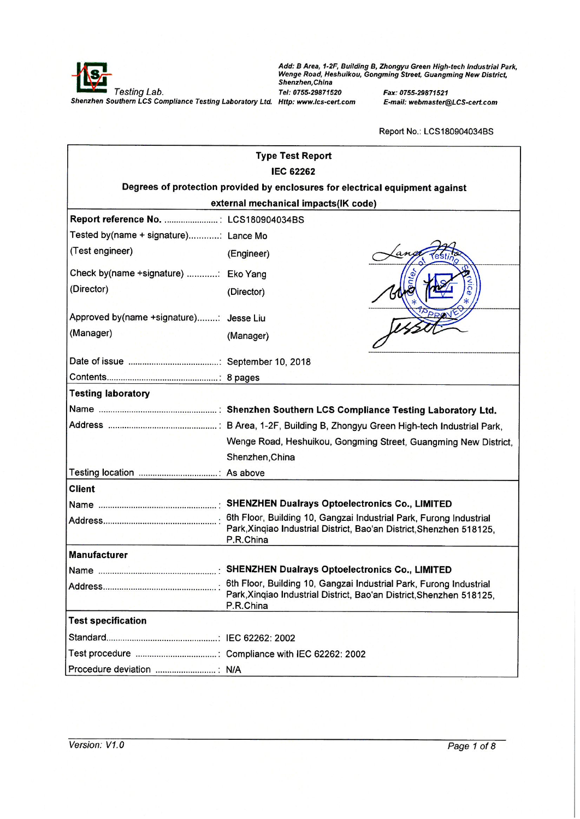

Add: B Area, 1-2F, Building B, Zhongyu Green High-tech Industrial Park,<br>Wenge Road, Heshuikou, Gongming Street, Guangming New District,<br>Shenzhen,China

Fax: 0755-29871521 E-mail: webmaster@LCS-cert.com

|                                         | <b>Type Test Report</b>                                                           |
|-----------------------------------------|-----------------------------------------------------------------------------------|
|                                         | <b>IEC 62262</b>                                                                  |
|                                         | Degrees of protection provided by enclosures for electrical equipment against     |
|                                         | external mechanical impacts(IK code)                                              |
| Report reference No.  : LCS180904034BS  |                                                                                   |
| Tested by(name + signature): Lance Mo   |                                                                                   |
| (Test engineer)                         | (Engineer)                                                                        |
| Check by(name +signature) : Eko Yang    |                                                                                   |
| (Director)                              | (Director)                                                                        |
| Approved by(name +signature): Jesse Liu |                                                                                   |
| (Manager)                               | (Manager)                                                                         |
|                                         |                                                                                   |
|                                         |                                                                                   |
| <b>Testing laboratory</b>               |                                                                                   |
|                                         |                                                                                   |
|                                         |                                                                                   |
|                                         | Wenge Road, Heshuikou, Gongming Street, Guangming New District,                   |
|                                         | Shenzhen, China                                                                   |
|                                         |                                                                                   |
| <b>Client</b>                           |                                                                                   |
|                                         |                                                                                   |
|                                         | Park, Xinqiao Industrial District, Bao'an District, Shenzhen 518125,<br>P.R.China |
| <b>Manufacturer</b>                     |                                                                                   |
|                                         |                                                                                   |
|                                         | Park, Xinqiao Industrial District, Bao'an District, Shenzhen 518125,<br>P.R.China |
| <b>Test specification</b>               |                                                                                   |
|                                         |                                                                                   |
|                                         |                                                                                   |
|                                         |                                                                                   |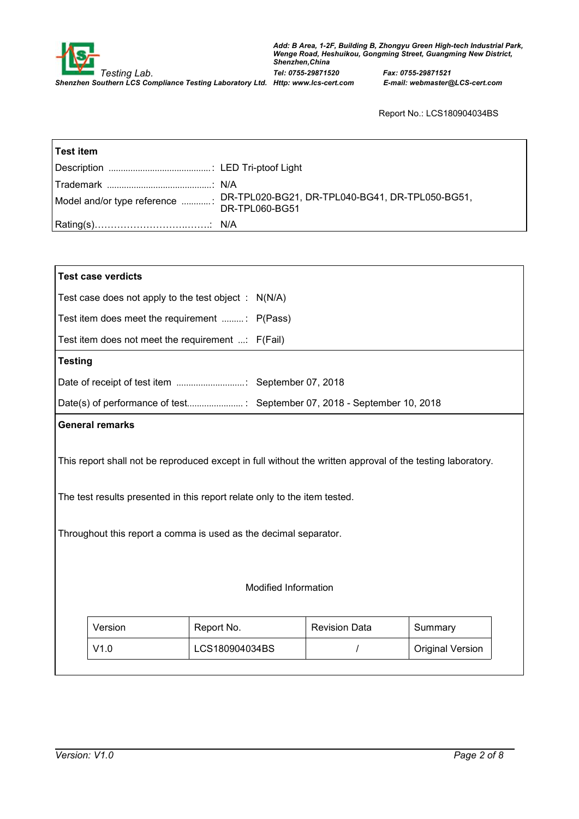

| ⊺Test item |                                                                                                |
|------------|------------------------------------------------------------------------------------------------|
|            |                                                                                                |
|            | Model and/or type reference  DR-TPL020-BG21, DR-TPL040-BG41, DR-TPL050-BG51,<br>DR-TPL060-BG51 |
|            |                                                                                                |

| <b>Test case verdicts</b> |                                                                                                                                                                                                                                                             |                      |         |
|---------------------------|-------------------------------------------------------------------------------------------------------------------------------------------------------------------------------------------------------------------------------------------------------------|----------------------|---------|
|                           | Test case does not apply to the test object : $N(N/A)$                                                                                                                                                                                                      |                      |         |
|                           | Test item does meet the requirement : P(Pass)                                                                                                                                                                                                               |                      |         |
|                           | Test item does not meet the requirement $\ldots$ : F(Fail)                                                                                                                                                                                                  |                      |         |
| <b>Testing</b>            |                                                                                                                                                                                                                                                             |                      |         |
|                           |                                                                                                                                                                                                                                                             |                      |         |
|                           |                                                                                                                                                                                                                                                             |                      |         |
| <b>General remarks</b>    |                                                                                                                                                                                                                                                             |                      |         |
|                           |                                                                                                                                                                                                                                                             |                      |         |
|                           | This report shall not be reproduced except in full without the written approval of the testing laboratory.<br>The test results presented in this report relate only to the item tested.<br>Throughout this report a comma is used as the decimal separator. |                      |         |
|                           | <b>Modified Information</b>                                                                                                                                                                                                                                 |                      |         |
| Version                   | Report No.                                                                                                                                                                                                                                                  | <b>Revision Data</b> | Summary |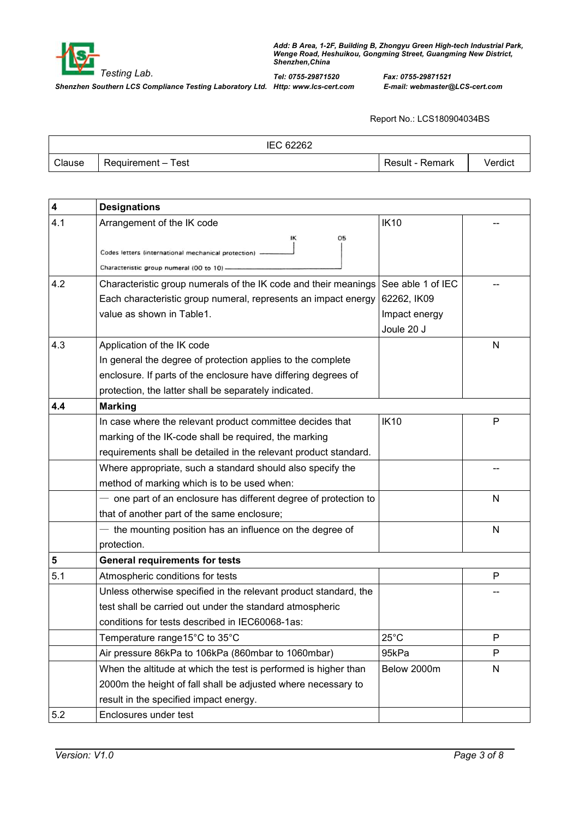

|        | 62262<br>ıEC.      |                 |         |
|--------|--------------------|-----------------|---------|
| Clause | Requirement – Test | Result - Remark | /erdict |

| 4                       | <b>Designations</b>                                                                                                     |                   |              |
|-------------------------|-------------------------------------------------------------------------------------------------------------------------|-------------------|--------------|
| 4.1                     | Arrangement of the IK code                                                                                              | <b>IK10</b>       |              |
|                         | ۱К<br>05<br>Codes letters (international mechanical protection)<br>Characteristic group numeral (00 to 10)              |                   |              |
| 4.2                     | Characteristic group numerals of the IK code and their meanings                                                         | See able 1 of IEC |              |
|                         | Each characteristic group numeral, represents an impact energy                                                          | 62262, IK09       |              |
|                         | value as shown in Table1.                                                                                               | Impact energy     |              |
| 4.3                     |                                                                                                                         | Joule 20 J        | N            |
|                         | Application of the IK code                                                                                              |                   |              |
|                         | In general the degree of protection applies to the complete                                                             |                   |              |
|                         | enclosure. If parts of the enclosure have differing degrees of<br>protection, the latter shall be separately indicated. |                   |              |
| 4.4                     | <b>Marking</b>                                                                                                          |                   |              |
|                         | In case where the relevant product committee decides that                                                               | <b>IK10</b>       | P            |
|                         | marking of the IK-code shall be required, the marking                                                                   |                   |              |
|                         | requirements shall be detailed in the relevant product standard.                                                        |                   |              |
|                         | Where appropriate, such a standard should also specify the                                                              |                   |              |
|                         | method of marking which is to be used when:                                                                             |                   |              |
|                         | one part of an enclosure has different degree of protection to                                                          |                   | N            |
|                         | that of another part of the same enclosure;                                                                             |                   |              |
|                         | - the mounting position has an influence on the degree of                                                               |                   | N            |
|                         | protection.                                                                                                             |                   |              |
| $\overline{\mathbf{5}}$ | <b>General requirements for tests</b>                                                                                   |                   |              |
| 5.1                     | Atmospheric conditions for tests                                                                                        |                   | P            |
|                         | Unless otherwise specified in the relevant product standard, the                                                        |                   |              |
|                         | test shall be carried out under the standard atmospheric                                                                |                   |              |
|                         | conditions for tests described in IEC60068-1as:                                                                         |                   |              |
|                         | Temperature range15°C to 35°C                                                                                           | $25^{\circ}$ C    | P            |
|                         | Air pressure 86kPa to 106kPa (860mbar to 1060mbar)                                                                      | 95kPa             | P            |
|                         | When the altitude at which the test is performed is higher than                                                         | Below 2000m       | $\mathsf{N}$ |
|                         | 2000m the height of fall shall be adjusted where necessary to                                                           |                   |              |
|                         | result in the specified impact energy.                                                                                  |                   |              |
| 5.2                     | Enclosures under test                                                                                                   |                   |              |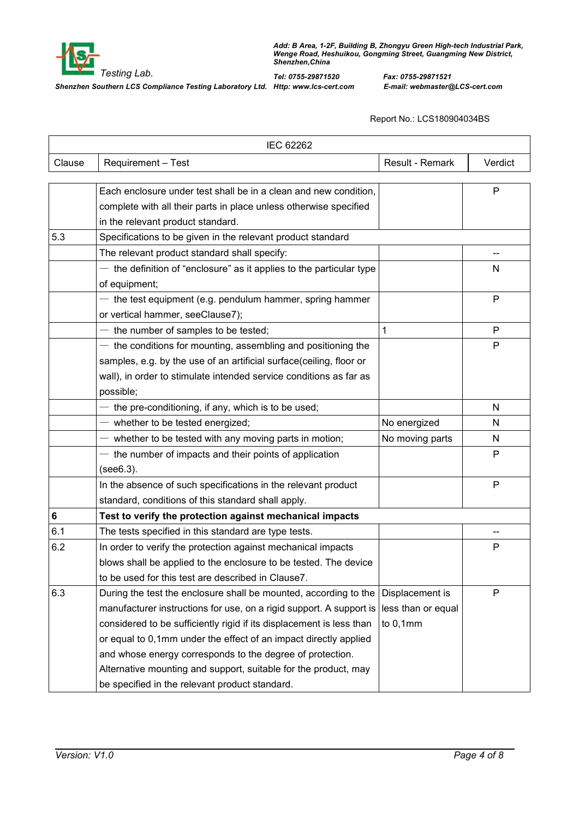

|        | <b>IEC 62262</b>                                                     |                    |         |
|--------|----------------------------------------------------------------------|--------------------|---------|
| Clause | Requirement - Test                                                   | Result - Remark    | Verdict |
|        |                                                                      |                    |         |
|        | Each enclosure under test shall be in a clean and new condition,     |                    | P       |
|        | complete with all their parts in place unless otherwise specified    |                    |         |
|        | in the relevant product standard.                                    |                    |         |
| 5.3    | Specifications to be given in the relevant product standard          |                    |         |
|        | The relevant product standard shall specify:                         |                    |         |
|        | the definition of "enclosure" as it applies to the particular type   |                    | N       |
|        | of equipment;                                                        |                    |         |
|        | $-$ the test equipment (e.g. pendulum hammer, spring hammer          |                    | P       |
|        | or vertical hammer, seeClause7);                                     |                    |         |
|        | $-$ the number of samples to be tested;                              | 1                  | P       |
|        | - the conditions for mounting, assembling and positioning the        |                    | P       |
|        | samples, e.g. by the use of an artificial surface(ceiling, floor or  |                    |         |
|        | wall), in order to stimulate intended service conditions as far as   |                    |         |
|        | possible;                                                            |                    |         |
|        | $-$ the pre-conditioning, if any, which is to be used;               |                    | N       |
|        | $-$ whether to be tested energized;                                  | No energized       | N       |
|        | - whether to be tested with any moving parts in motion;              | No moving parts    | N       |
|        | $-$ the number of impacts and their points of application            |                    | P       |
|        | (see6.3).                                                            |                    |         |
|        | In the absence of such specifications in the relevant product        |                    | P       |
|        | standard, conditions of this standard shall apply.                   |                    |         |
| 6      | Test to verify the protection against mechanical impacts             |                    |         |
| 6.1    | The tests specified in this standard are type tests.                 |                    |         |
| 6.2    | In order to verify the protection against mechanical impacts         |                    | P       |
|        | blows shall be applied to the enclosure to be tested. The device     |                    |         |
|        | to be used for this test are described in Clause7.                   |                    |         |
| 6.3    | During the test the enclosure shall be mounted, according to the     | Displacement is    | P       |
|        | manufacturer instructions for use, on a rigid support. A support is  | less than or equal |         |
|        | considered to be sufficiently rigid if its displacement is less than | to $0,1$ mm        |         |
|        | or equal to 0,1mm under the effect of an impact directly applied     |                    |         |
|        | and whose energy corresponds to the degree of protection.            |                    |         |
|        | Alternative mounting and support, suitable for the product, may      |                    |         |
|        | be specified in the relevant product standard.                       |                    |         |
|        |                                                                      |                    |         |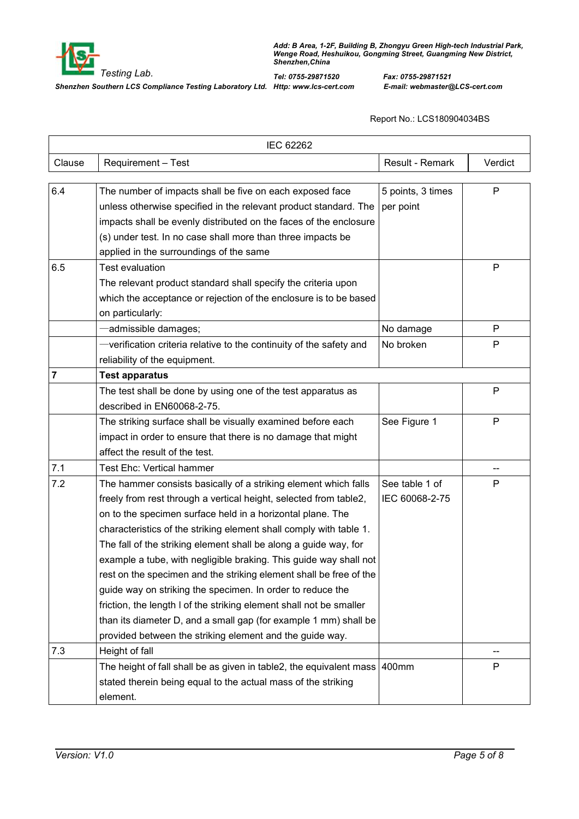

|                | IEC 62262                                                                                                                                                                                                                                                                                                                                                                                                                                                                                                                                                                                                                                                                                                                                                    |                                  |              |
|----------------|--------------------------------------------------------------------------------------------------------------------------------------------------------------------------------------------------------------------------------------------------------------------------------------------------------------------------------------------------------------------------------------------------------------------------------------------------------------------------------------------------------------------------------------------------------------------------------------------------------------------------------------------------------------------------------------------------------------------------------------------------------------|----------------------------------|--------------|
| Clause         | Requirement - Test                                                                                                                                                                                                                                                                                                                                                                                                                                                                                                                                                                                                                                                                                                                                           | Result - Remark                  | Verdict      |
| 6.4            | The number of impacts shall be five on each exposed face<br>unless otherwise specified in the relevant product standard. The<br>impacts shall be evenly distributed on the faces of the enclosure<br>(s) under test. In no case shall more than three impacts be<br>applied in the surroundings of the same                                                                                                                                                                                                                                                                                                                                                                                                                                                  | 5 points, 3 times<br>per point   | $\mathsf{P}$ |
| 6.5            | <b>Test evaluation</b><br>The relevant product standard shall specify the criteria upon<br>which the acceptance or rejection of the enclosure is to be based<br>on particularly:                                                                                                                                                                                                                                                                                                                                                                                                                                                                                                                                                                             |                                  | Ρ            |
|                | admissible damages;                                                                                                                                                                                                                                                                                                                                                                                                                                                                                                                                                                                                                                                                                                                                          | No damage                        | P            |
|                | -verification criteria relative to the continuity of the safety and<br>reliability of the equipment.                                                                                                                                                                                                                                                                                                                                                                                                                                                                                                                                                                                                                                                         | No broken                        | P            |
| $\overline{7}$ | <b>Test apparatus</b>                                                                                                                                                                                                                                                                                                                                                                                                                                                                                                                                                                                                                                                                                                                                        |                                  |              |
|                | The test shall be done by using one of the test apparatus as<br>described in EN60068-2-75.                                                                                                                                                                                                                                                                                                                                                                                                                                                                                                                                                                                                                                                                   |                                  | Ρ            |
|                | The striking surface shall be visually examined before each<br>impact in order to ensure that there is no damage that might<br>affect the result of the test.                                                                                                                                                                                                                                                                                                                                                                                                                                                                                                                                                                                                | See Figure 1                     | P            |
| 7.1            | <b>Test Ehc: Vertical hammer</b>                                                                                                                                                                                                                                                                                                                                                                                                                                                                                                                                                                                                                                                                                                                             |                                  | --           |
| 7.2            | The hammer consists basically of a striking element which falls<br>freely from rest through a vertical height, selected from table2,<br>on to the specimen surface held in a horizontal plane. The<br>characteristics of the striking element shall comply with table 1.<br>The fall of the striking element shall be along a guide way, for<br>example a tube, with negligible braking. This guide way shall not<br>rest on the specimen and the striking element shall be free of the<br>guide way on striking the specimen. In order to reduce the<br>friction, the length I of the striking element shall not be smaller<br>than its diameter D, and a small gap (for example 1 mm) shall be<br>provided between the striking element and the guide way. | See table 1 of<br>IEC 60068-2-75 | P            |
| 7.3            | Height of fall                                                                                                                                                                                                                                                                                                                                                                                                                                                                                                                                                                                                                                                                                                                                               |                                  |              |
|                | The height of fall shall be as given in table2, the equivalent mass 400mm<br>stated therein being equal to the actual mass of the striking<br>element.                                                                                                                                                                                                                                                                                                                                                                                                                                                                                                                                                                                                       |                                  | P            |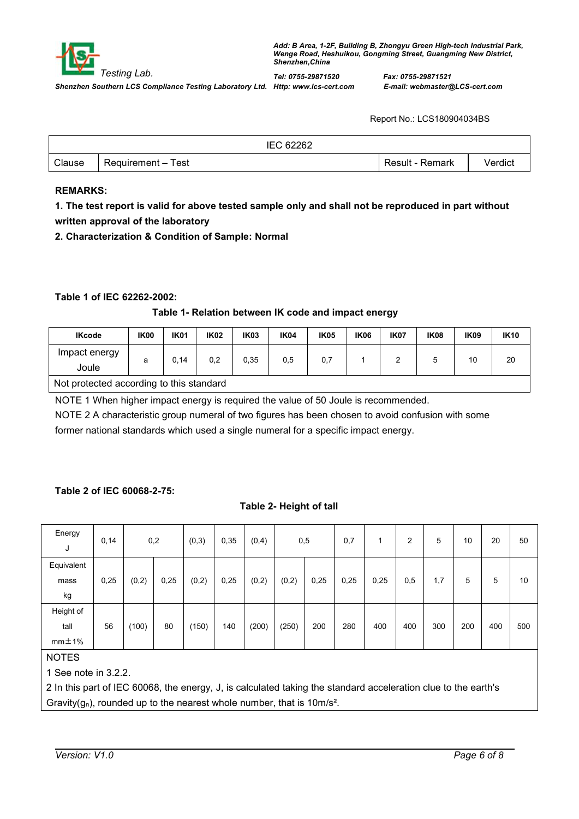|        |                    | IEC 62262 |                 |         |
|--------|--------------------|-----------|-----------------|---------|
| Clause | Requirement – Test |           | Result - Remark | Verdict |

#### **REMARKS:**

1. The test report is valid for above tested sample only and shall not be reproduced in part without **written approval of the laboratory**

**2. Characterization & Condition of Sample: Normal**

### **Table 1 of IEC 62262-2002:**

#### **Table 1- Relation between IK code and impact energy**

| <b>IKcode</b>                            | IK <sub>00</sub> | <b>IK01</b> | <b>IK02</b> | IK <sub>03</sub> | <b>IK04</b> | <b>IK05</b> | <b>IK06</b> | <b>IK07</b> | <b>IK08</b> | <b>IK09</b> | <b>IK10</b> |
|------------------------------------------|------------------|-------------|-------------|------------------|-------------|-------------|-------------|-------------|-------------|-------------|-------------|
| Impact energy<br>Joule                   | a                | .14         | 0,2         | 0,35             | 0,5         | 0,7         |             |             |             | 10          | 20          |
| Not protected according to this standard |                  |             |             |                  |             |             |             |             |             |             |             |

NOTE 1 When higher impact energy is required the value of 50 Joule is recommended.

NOTE 2 A characteristic group numeral of two figures has been chosen to avoid confusion with some former national standards which used a single numeral for a specific impact energy.

#### **Table 2 of IEC 60068-2-75:**

#### **Table 2- Height of tall**

| Energy<br>J  | 0,14 | 0,2   |      | (0,3) | 0,35 | (0, 4) | 0,5   |      | 0,7  |      | 2   | 5   | 10  | 20  | 50  |  |
|--------------|------|-------|------|-------|------|--------|-------|------|------|------|-----|-----|-----|-----|-----|--|
| Equivalent   |      |       |      |       |      |        |       |      |      |      |     |     |     |     |     |  |
| mass         | 0,25 | (0,2) | 0,25 | (0,2) | 0,25 | (0,2)  | (0,2) | 0,25 | 0,25 | 0,25 | 0,5 | 1,7 | 5   | 5   | 10  |  |
| kg           |      |       |      |       |      |        |       |      |      |      |     |     |     |     |     |  |
| Height of    |      |       |      |       |      |        |       |      |      |      |     |     |     |     |     |  |
| tall         | 56   | (100) | 80   | (150) | 140  | (200)  | (250) | 200  | 280  | 400  | 400 | 300 | 200 | 400 | 500 |  |
| $mm = 1%$    |      |       |      |       |      |        |       |      |      |      |     |     |     |     |     |  |
| <b>NOTES</b> |      |       |      |       |      |        |       |      |      |      |     |     |     |     |     |  |

1 See note in 3.2.2.

2 In this part of IEC 60068, the energy, J, is calculated taking the standard acceleration clue to the earth's Gravity( $g_n$ ), rounded up to the nearest whole number, that is 10m/s<sup>2</sup>.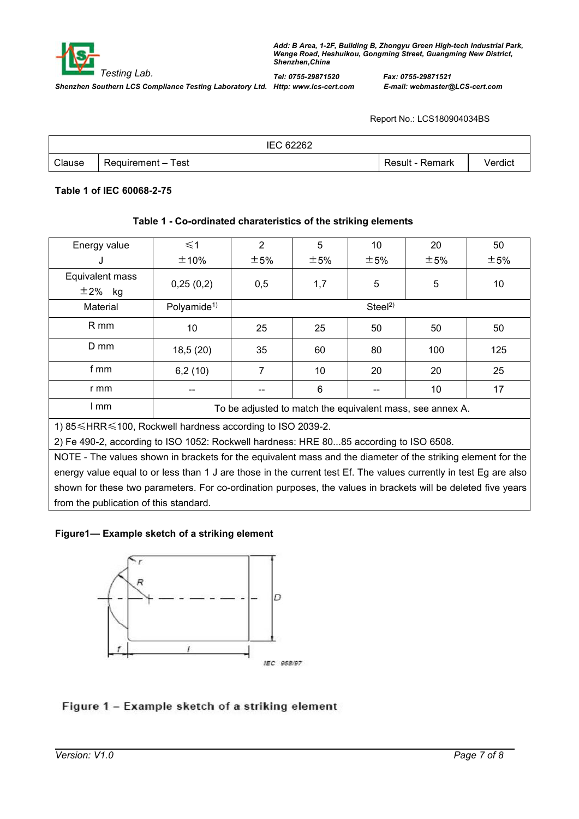

*Testing Lab. Add: <sup>B</sup> Area, 1-2F, Building B, Zhongyu Green High-tech Industrial Park, Wenge Road, Heshuikou, Gongming Street, Guangming New District, Shenzhen,China Tel: 0755-29871520 Fax: 0755-29871521*

Report No.: LCS180904034BS

|        |                    | IEC 62262 |                 |         |
|--------|--------------------|-----------|-----------------|---------|
| Clause | Requirement – Test |           | Result - Remark | √erdict |

### **Table 1 of IEC 60068-2-75**

## **Table 1 - Co-ordinated charateristics of the striking elements**

| Energy value                                                                                                      | $\leq 1$                | $\overline{2}$ | 5   | 10                 | 20                                                        | 50  |
|-------------------------------------------------------------------------------------------------------------------|-------------------------|----------------|-----|--------------------|-----------------------------------------------------------|-----|
| J                                                                                                                 | ±10%                    | ±5%            | ±5% | ±5%                | ±5%                                                       | ±5% |
| Equivalent mass<br>$\pm 2\%$ kg                                                                                   | 0,25(0,2)               | 0,5            | 1,7 | 5                  | 5                                                         | 10  |
| Material                                                                                                          | Polyamide <sup>1)</sup> |                |     | Steel <sup>2</sup> |                                                           |     |
| R mm                                                                                                              | 10                      | 25             | 25  | 50                 | 50                                                        | 50  |
| D mm                                                                                                              | 18,5(20)                | 35             | 60  | 80                 | 100                                                       | 125 |
| f mm                                                                                                              | 6,2(10)                 | 7              | 10  | 20                 | 20                                                        | 25  |
| r mm                                                                                                              |                         |                | 6   |                    | 10                                                        | 17  |
| I mm                                                                                                              |                         |                |     |                    | To be adjusted to match the equivalent mass, see annex A. |     |
| 1) 85 ≤ HRR ≤ 100, Rockwell hardness according to ISO 2039-2.                                                     |                         |                |     |                    |                                                           |     |
| 2) Fe 490-2, according to ISO 1052: Rockwell hardness: HRE 8085 according to ISO 6508.                            |                         |                |     |                    |                                                           |     |
| NOTE - The values shown in brackets for the equivalent mass and the diameter of the striking element for the      |                         |                |     |                    |                                                           |     |
| energy value equal to or less than 1 J are those in the current test Ef. The values currently in test Eg are also |                         |                |     |                    |                                                           |     |
| shown for these two parameters. For co-ordination purposes, the values in brackets will be deleted five years     |                         |                |     |                    |                                                           |     |
| from the publication of this standard.                                                                            |                         |                |     |                    |                                                           |     |

## **Figure1— Example sketch of a striking element**



## Figure 1 - Example sketch of a striking element